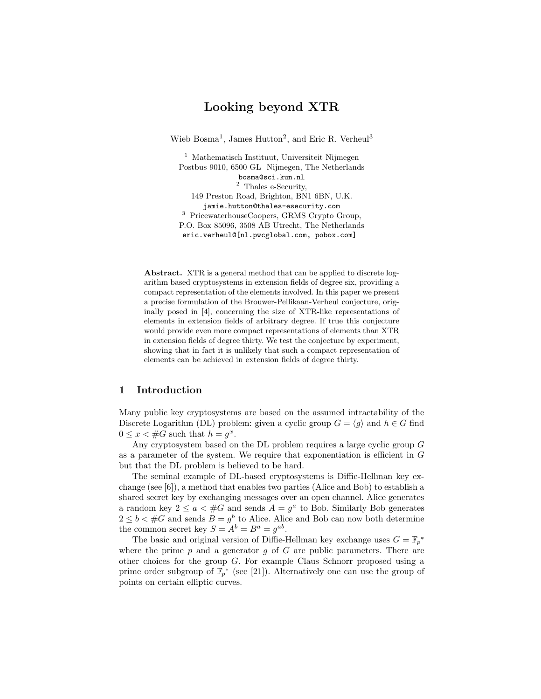# Looking beyond XTR

Wieb Bosma<sup>1</sup>, James Hutton<sup>2</sup>, and Eric R. Verheul<sup>3</sup>

<sup>1</sup> Mathematisch Instituut, Universiteit Nijmegen Postbus 9010, 6500 GL Nijmegen, The Netherlands bosma@sci.kun.nl <sup>2</sup> Thales e-Security, 149 Preston Road, Brighton, BN1 6BN, U.K. jamie.hutton@thales-esecurity.com <sup>3</sup> PricewaterhouseCoopers, GRMS Crypto Group, P.O. Box 85096, 3508 AB Utrecht, The Netherlands eric.verheul@[nl.pwcglobal.com, pobox.com]

Abstract. XTR is a general method that can be applied to discrete logarithm based cryptosystems in extension fields of degree six, providing a compact representation of the elements involved. In this paper we present a precise formulation of the Brouwer-Pellikaan-Verheul conjecture, originally posed in [4], concerning the size of XTR-like representations of elements in extension fields of arbitrary degree. If true this conjecture would provide even more compact representations of elements than XTR in extension fields of degree thirty. We test the conjecture by experiment, showing that in fact it is unlikely that such a compact representation of elements can be achieved in extension fields of degree thirty.

## 1 Introduction

Many public key cryptosystems are based on the assumed intractability of the Discrete Logarithm (DL) problem: given a cyclic group  $G = \langle g \rangle$  and  $h \in G$  find  $0 \leq x < \#G$  such that  $h = g^x$ .

Any cryptosystem based on the DL problem requires a large cyclic group G as a parameter of the system. We require that exponentiation is efficient in G but that the DL problem is believed to be hard.

The seminal example of DL-based cryptosystems is Diffie-Hellman key exchange (see [6]), a method that enables two parties (Alice and Bob) to establish a shared secret key by exchanging messages over an open channel. Alice generates a random key  $2 \le a < \#G$  and sends  $A = g^a$  to Bob. Similarly Bob generates  $2 \leq b < \#G$  and sends  $B = g^b$  to Alice. Alice and Bob can now both determine the common secret key  $S = A^b = B^a = g^{ab}$ .

The basic and original version of Diffie-Hellman key exchange uses  $G = \mathbb{F}_p^*$ where the prime  $p$  and a generator  $q$  of  $G$  are public parameters. There are other choices for the group G. For example Claus Schnorr proposed using a prime order subgroup of  $\mathbb{F}_p^*$  (see [21]). Alternatively one can use the group of points on certain elliptic curves.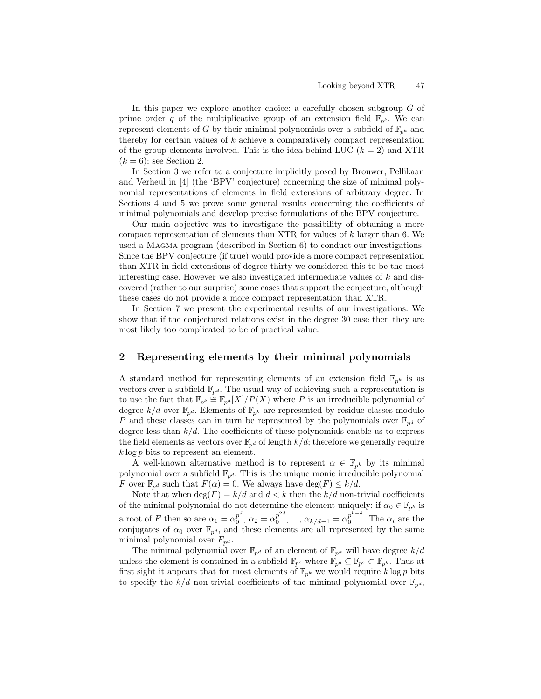In this paper we explore another choice: a carefully chosen subgroup G of prime order q of the multiplicative group of an extension field  $\mathbb{F}_{p^k}$ . We can represent elements of G by their minimal polynomials over a subfield of  $\mathbb{F}_{p^k}$  and thereby for certain values of  $k$  achieve a comparatively compact representation of the group elements involved. This is the idea behind LUC  $(k = 2)$  and XTR  $(k = 6)$ ; see Section 2.

In Section 3 we refer to a conjecture implicitly posed by Brouwer, Pellikaan and Verheul in [4] (the 'BPV' conjecture) concerning the size of minimal polynomial representations of elements in field extensions of arbitrary degree. In Sections 4 and 5 we prove some general results concerning the coefficients of minimal polynomials and develop precise formulations of the BPV conjecture.

Our main objective was to investigate the possibility of obtaining a more compact representation of elements than XTR for values of k larger than 6. We used a MAGMA program (described in Section 6) to conduct our investigations. Since the BPV conjecture (if true) would provide a more compact representation than XTR in field extensions of degree thirty we considered this to be the most interesting case. However we also investigated intermediate values of  $k$  and discovered (rather to our surprise) some cases that support the conjecture, although these cases do not provide a more compact representation than XTR.

In Section 7 we present the experimental results of our investigations. We show that if the conjectured relations exist in the degree 30 case then they are most likely too complicated to be of practical value.

## 2 Representing elements by their minimal polynomials

A standard method for representing elements of an extension field  $\mathbb{F}_{p^k}$  is as vectors over a subfield  $\mathbb{F}_{p^d}$ . The usual way of achieving such a representation is to use the fact that  $\mathbb{F}_{p^k} \stackrel{\sim}{=} \mathbb{F}_{p^d}[X]/P(X)$  where P is an irreducible polynomial of degree  $k/d$  over  $\mathbb{F}_{p^d}$ . Elements of  $\mathbb{F}_{p^k}$  are represented by residue classes modulo P and these classes can in turn be represented by the polynomials over  $\mathbb{F}_{p^d}$  of degree less than  $k/d$ . The coefficients of these polynomials enable us to express the field elements as vectors over  $\mathbb{F}_{p^d}$  of length  $k/d$ ; therefore we generally require  $k \log p$  bits to represent an element.

A well-known alternative method is to represent  $\alpha \in \mathbb{F}_{p^k}$  by its minimal polynomial over a subfield  $\mathbb{F}_{p^d}$ . This is the unique monic irreducible polynomial F over  $\mathbb{F}_{p^d}$  such that  $F(\alpha) = 0$ . We always have  $\deg(F) \leq k/d$ .

Note that when  $\deg(F) = k/d$  and  $d < k$  then the  $k/d$  non-trivial coefficients of the minimal polynomial do not determine the element uniquely: if  $\alpha_0 \in \mathbb{F}_{p^k}$  is a root of F then so are  $\alpha_1 = \alpha_0^{p^d}$  $p^d_0, \alpha_2 = \alpha_0^{p^{2d}}$  $p^{2d}_{0}, \ldots, \alpha_{k/d-1} = \alpha_0^{p^{k-d}}$  $\begin{array}{cc} p \\ 0 \end{array}$  . The  $\alpha_i$  are the conjugates of  $\alpha_0$  over  $\mathbb{F}_{p^d}$ , and these elements are all represented by the same minimal polynomial over  $F_{p^d}$ .

The minimal polynomial over  $\mathbb{F}_{p^d}$  of an element of  $\mathbb{F}_{p^k}$  will have degree  $k/d$ unless the element is contained in a subfield  $\mathbb{F}_{p^e}$  where  $\mathbb{F}_{p^d} \subseteq \mathbb{F}_{p^e} \subset \mathbb{F}_{p^k}$ . Thus at first sight it appears that for most elements of  $\mathbb{F}_{p^k}$  we would require k log p bits to specify the  $k/d$  non-trivial coefficients of the minimal polynomial over  $\mathbb{F}_{p^d}$ ,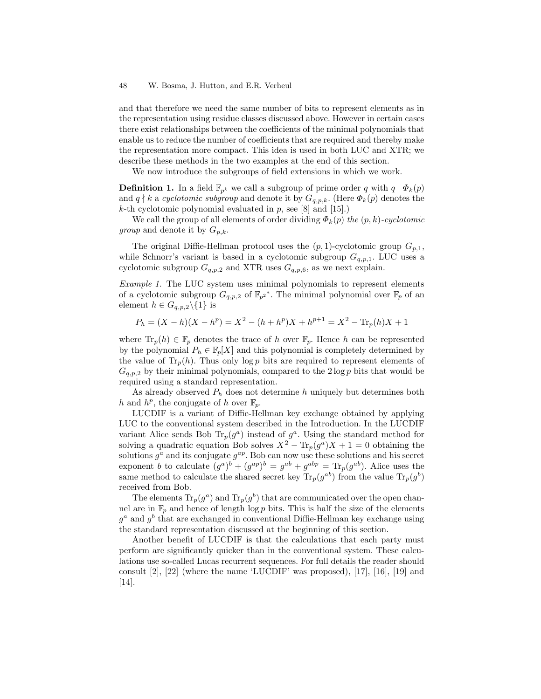and that therefore we need the same number of bits to represent elements as in the representation using residue classes discussed above. However in certain cases there exist relationships between the coefficients of the minimal polynomials that enable us to reduce the number of coefficients that are required and thereby make the representation more compact. This idea is used in both LUC and XTR; we describe these methods in the two examples at the end of this section.

We now introduce the subgroups of field extensions in which we work.

**Definition 1.** In a field  $\mathbb{F}_{p^k}$  we call a subgroup of prime order q with  $q | \Phi_k(p)$ and  $q \nmid k$  a cyclotomic subgroup and denote it by  $G_{q,p,k}$ . (Here  $\Phi_k(p)$  denotes the k-th cyclotomic polynomial evaluated in  $p$ , see [8] and [15].)

We call the group of all elements of order dividing  $\Phi_k(p)$  the  $(p, k)$ -cyclotomic *group* and denote it by  $G_{p,k}$ .

The original Diffie-Hellman protocol uses the  $(p, 1)$ -cyclotomic group  $G_{p,1}$ , while Schnorr's variant is based in a cyclotomic subgroup  $G_{q,p,1}$ . LUC uses a cyclotomic subgroup  $G_{q,p,2}$  and XTR uses  $G_{q,p,6}$ , as we next explain.

Example 1. The LUC system uses minimal polynomials to represent elements of a cyclotomic subgroup  $G_{q,p,2}$  of  $\mathbb{F}_{p^2}^*$ . The minimal polynomial over  $\mathbb{F}_p$  of an element  $h \in G_{q,p,2}\backslash\{1\}$  is

$$
P_h = (X - h)(X - h^p) = X^2 - (h + h^p)X + h^{p+1} = X^2 - \text{Tr}_p(h)X + 1
$$

where  $\text{Tr}_p(h) \in \mathbb{F}_p$  denotes the trace of h over  $\mathbb{F}_p$ . Hence h can be represented by the polynomial  $P_h \in \mathbb{F}_p[X]$  and this polynomial is completely determined by the value of  $Tr_p(h)$ . Thus only log p bits are required to represent elements of  $G_{q,p,2}$  by their minimal polynomials, compared to the  $2 \log p$  bits that would be required using a standard representation.

As already observed  $P_h$  does not determine h uniquely but determines both h and  $h^p$ , the conjugate of h over  $\mathbb{F}_p$ .

LUCDIF is a variant of Diffie-Hellman key exchange obtained by applying LUC to the conventional system described in the Introduction. In the LUCDIF variant Alice sends Bob  $\text{Tr}_p(g^a)$  instead of  $g^a$ . Using the standard method for solving a quadratic equation Bob solves  $X^2 - \text{Tr}_p(g^a)X + 1 = 0$  obtaining the solutions  $g^a$  and its conjugate  $g^{ap}$ . Bob can now use these solutions and his secret exponent b to calculate  $(g^a)^b + (g^{ap})^b = g^{ab} + g^{abp} = \text{Tr}_p(g^{ab})$ . Alice uses the same method to calculate the shared secret key  $\text{Tr}_p(g^{ab})$  from the value  $\text{Tr}_p(g^b)$ received from Bob.

The elements  $\text{Tr}_p(g^a)$  and  $\text{Tr}_p(g^b)$  that are communicated over the open channel are in  $\mathbb{F}_p$  and hence of length log p bits. This is half the size of the elements  $g^a$  and  $g^b$  that are exchanged in conventional Diffie-Hellman key exchange using the standard representation discussed at the beginning of this section.

Another benefit of LUCDIF is that the calculations that each party must perform are significantly quicker than in the conventional system. These calculations use so-called Lucas recurrent sequences. For full details the reader should consult [2], [22] (where the name 'LUCDIF' was proposed), [17], [16], [19] and [14].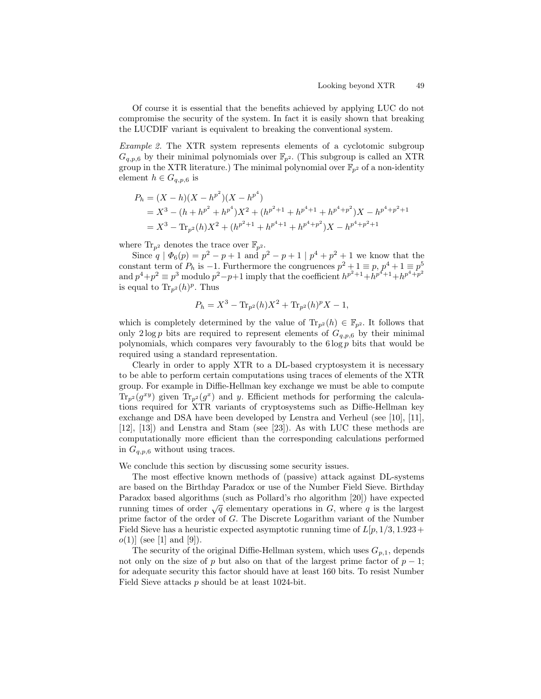Of course it is essential that the benefits achieved by applying LUC do not compromise the security of the system. In fact it is easily shown that breaking the LUCDIF variant is equivalent to breaking the conventional system.

Example 2. The XTR system represents elements of a cyclotomic subgroup  $G_{q,p,6}$  by their minimal polynomials over  $\mathbb{F}_{p^2}$ . (This subgroup is called an XTR group in the XTR literature.) The minimal polynomial over  $\mathbb{F}_{p^2}$  of a non-identity element  $h \in G_{q,p,6}$  is

$$
P_h = (X - h)(X - h^{p^2})(X - h^{p^4})
$$
  
=  $X^3 - (h + h^{p^2} + h^{p^4})X^2 + (h^{p^2+1} + h^{p^4+1} + h^{p^4+p^2})X - h^{p^4+p^2+1}$   
=  $X^3 - \text{Tr}_{p^2}(h)X^2 + (h^{p^2+1} + h^{p^4+1} + h^{p^4+p^2})X - h^{p^4+p^2+1}$ 

where  $\text{Tr}_{p^2}$  denotes the trace over  $\mathbb{F}_{p^2}$ .

Since  $q | \Phi_6(p) = p^2 - p + 1$  and  $p^2 - p + 1 | p^4 + p^2 + 1$  we know that the constant term of  $P_h$  is  $-1$ . Furthermore the congruences  $p^2 + 1 \equiv p, p^4 + 1 \equiv p^5$ and  $p^4+p^2 \equiv p^3$  modulo  $p^2-p+1$  imply that the coefficient  $h^{p^2+1}+h^{p^4+1}+h^{p^4+p^2}$ is equal to  $\text{Tr}_{p^2}(h)^p$ . Thus

$$
P_h = X^3 - \text{Tr}_{p^2}(h)X^2 + \text{Tr}_{p^2}(h)^p X - 1,
$$

which is completely determined by the value of  $\text{Tr}_{p^2}(h) \in \mathbb{F}_{p^2}$ . It follows that only  $2 \log p$  bits are required to represent elements of  $G_{q,p,6}$  by their minimal polynomials, which compares very favourably to the  $6 \log p$  bits that would be required using a standard representation.

Clearly in order to apply XTR to a DL-based cryptosystem it is necessary to be able to perform certain computations using traces of elements of the XTR group. For example in Diffie-Hellman key exchange we must be able to compute  $\text{Tr}_{p^2}(g^{xy})$  given  $\text{Tr}_{p^2}(g^x)$  and y. Efficient methods for performing the calculations required for XTR variants of cryptosystems such as Diffie-Hellman key exchange and DSA have been developed by Lenstra and Verheul (see [10], [11], [12], [13]) and Lenstra and Stam (see [23]). As with LUC these methods are computationally more efficient than the corresponding calculations performed in  $G_{q,p,6}$  without using traces.

We conclude this section by discussing some security issues.

The most effective known methods of (passive) attack against DL-systems are based on the Birthday Paradox or use of the Number Field Sieve. Birthday Paradox based algorithms (such as Pollard's rho algorithm [20]) have expected running times of order  $\sqrt{q}$  elementary operations in G, where q is the largest prime factor of the order of G. The Discrete Logarithm variant of the Number Field Sieve has a heuristic expected asymptotic running time of  $L[p, 1/3, 1.923 +$  $o(1)$  (see [1] and [9]).

The security of the original Diffie-Hellman system, which uses  $G_{p,1}$ , depends not only on the size of p but also on that of the largest prime factor of  $p-1$ ; for adequate security this factor should have at least 160 bits. To resist Number Field Sieve attacks p should be at least 1024-bit.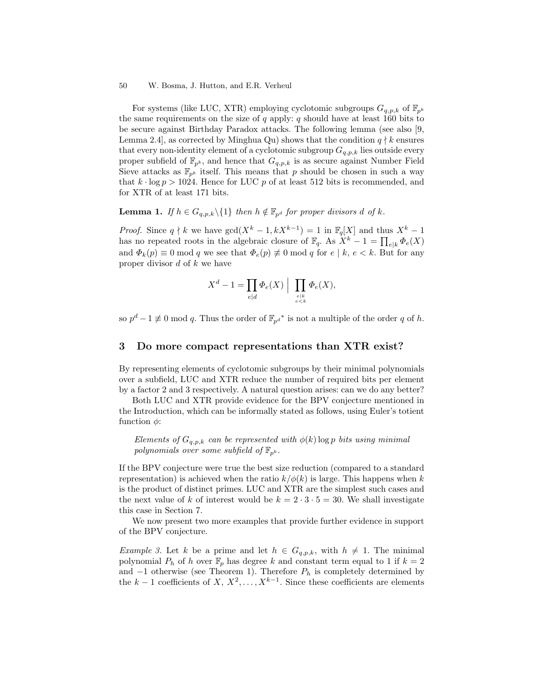For systems (like LUC, XTR) employing cyclotomic subgroups  $G_{q,p,k}$  of  $\mathbb{F}_{p^k}$ the same requirements on the size of  $q$  apply:  $q$  should have at least 160 bits to be secure against Birthday Paradox attacks. The following lemma (see also [9, Lemma 2.4, as corrected by Minghua Qu) shows that the condition  $q \nmid k$  ensures that every non-identity element of a cyclotomic subgroup  $G_{q,p,k}$  lies outside every proper subfield of  $\mathbb{F}_{p^k}$ , and hence that  $G_{q,p,k}$  is as secure against Number Field Sieve attacks as  $\mathbb{F}_{p^k}$  itself. This means that p should be chosen in such a way that  $k \cdot \log p > 1024$ . Hence for LUC p of at least 512 bits is recommended, and for XTR of at least 171 bits.

**Lemma 1.** If  $h \in G_{q,p,k} \setminus \{1\}$  then  $h \notin \mathbb{F}_{p^d}$  for proper divisors d of k.

*Proof.* Since  $q \nmid k$  we have  $gcd(X^k - 1, kX^{k-1}) = 1$  in  $\mathbb{F}_q[X]$  and thus  $X^k - 1$ has no repeated roots in the algebraic closure of  $\mathbb{F}_q$ . As  $X^k - 1 = \prod_{e|k} \Phi_e(X)$ and  $\Phi_k(p) \equiv 0 \mod q$  we see that  $\Phi_e(p) \not\equiv 0 \mod q$  for  $e \mid k, e \le k$ . But for any proper divisor  $d$  of  $k$  we have

$$
X^d - 1 = \prod_{e | d} \Phi_e(X) \mid \prod_{e \le k \atop e < k} \Phi_e(X),
$$

so  $p^d - 1 \not\equiv 0 \mod q$ . Thus the order of  $\mathbb{F}_{p^{d}}^*$  is not a multiple of the order q of h.

### 3 Do more compact representations than XTR exist?

By representing elements of cyclotomic subgroups by their minimal polynomials over a subfield, LUC and XTR reduce the number of required bits per element by a factor 2 and 3 respectively. A natural question arises: can we do any better?

Both LUC and XTR provide evidence for the BPV conjecture mentioned in the Introduction, which can be informally stated as follows, using Euler's totient function  $\phi$ :

Elements of  $G_{q,p,k}$  can be represented with  $\phi(k)$  log p bits using minimal polynomials over some subfield of  $\mathbb{F}_{p^k}$ .

If the BPV conjecture were true the best size reduction (compared to a standard representation) is achieved when the ratio  $k/\phi(k)$  is large. This happens when k is the product of distinct primes. LUC and XTR are the simplest such cases and the next value of k of interest would be  $k = 2 \cdot 3 \cdot 5 = 30$ . We shall investigate this case in Section 7.

We now present two more examples that provide further evidence in support of the BPV conjecture.

*Example 3.* Let k be a prime and let  $h \in G_{q,p,k}$ , with  $h \neq 1$ . The minimal polynomial  $P_h$  of h over  $\mathbb{F}_p$  has degree k and constant term equal to 1 if  $k = 2$ and  $-1$  otherwise (see Theorem 1). Therefore  $P_h$  is completely determined by the  $k-1$  coefficients of  $X, X^2, \ldots, X^{k-1}$ . Since these coefficients are elements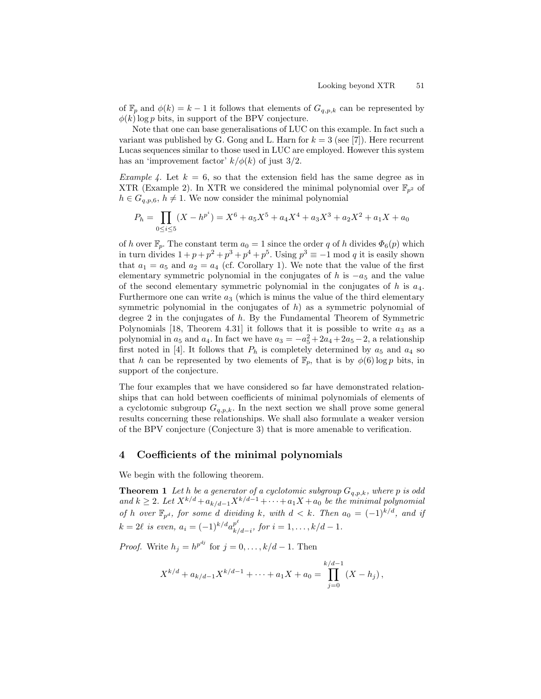of  $\mathbb{F}_p$  and  $\phi(k) = k - 1$  it follows that elements of  $G_{q,p,k}$  can be represented by  $\phi(k)$ log p bits, in support of the BPV conjecture.

Note that one can base generalisations of LUC on this example. In fact such a variant was published by G. Gong and L. Harn for  $k = 3$  (see [7]). Here recurrent Lucas sequences similar to those used in LUC are employed. However this system has an 'improvement factor'  $k/\phi(k)$  of just 3/2.

*Example 4.* Let  $k = 6$ , so that the extension field has the same degree as in XTR (Example 2). In XTR we considered the minimal polynomial over  $\mathbb{F}_{n^2}$  of  $h \in G_{q,p,6}, h \neq 1$ . We now consider the minimal polynomial

$$
P_h = \prod_{0 \le i \le 5} (X - h^{p^i}) = X^6 + a_5 X^5 + a_4 X^4 + a_3 X^3 + a_2 X^2 + a_1 X + a_0
$$

of h over  $\mathbb{F}_p$ . The constant term  $a_0 = 1$  since the order q of h divides  $\Phi_6(p)$  which in turn divides  $1 + p + p^2 + p^3 + p^4 + p^5$ . Using  $p^3 \equiv -1 \mod q$  it is easily shown that  $a_1 = a_5$  and  $a_2 = a_4$  (cf. Corollary 1). We note that the value of the first elementary symmetric polynomial in the conjugates of h is  $-a<sub>5</sub>$  and the value of the second elementary symmetric polynomial in the conjugates of  $h$  is  $a_4$ . Furthermore one can write  $a_3$  (which is minus the value of the third elementary symmetric polynomial in the conjugates of  $h$ ) as a symmetric polynomial of degree 2 in the conjugates of h. By the Fundamental Theorem of Symmetric Polynomials [18, Theorem 4.31] it follows that it is possible to write  $a_3$  as a polynomial in  $a_5$  and  $a_4$ . In fact we have  $a_3 = -a_5^2 + 2a_4 + 2a_5 - 2$ , a relationship first noted in [4]. It follows that  $P_h$  is completely determined by  $a_5$  and  $a_4$  so that h can be represented by two elements of  $\mathbb{F}_n$ , that is by  $\phi(6)$  log p bits, in support of the conjecture.

The four examples that we have considered so far have demonstrated relationships that can hold between coefficients of minimal polynomials of elements of a cyclotomic subgroup  $G_{q,p,k}$ . In the next section we shall prove some general results concerning these relationships. We shall also formulate a weaker version of the BPV conjecture (Conjecture 3) that is more amenable to verification.

## 4 Coefficients of the minimal polynomials

We begin with the following theorem.

**Theorem 1** Let h be a generator of a cyclotomic subgroup  $G_{q,p,k}$ , where p is odd and  $k \geq 2$ . Let  $X^{k/d} + a_{k/d-1}X^{k/d-1} + \cdots + a_1X + a_0$  be the minimal polynomial of h over  $\mathbb{F}_{p^d}$ , for some d dividing k, with  $d < k$ . Then  $a_0 = (-1)^{k/d}$ , and if  $k = 2\ell$  is even,  $a_i = (-1)^{k/d} a_{k/\ell}^{p^{\ell}}$  $_{k/d-i}^{p}, for i = 1, \ldots, k/d - 1.$ 

*Proof.* Write  $h_j = h^{p^{dj}}$  for  $j = 0, ..., k/d - 1$ . Then

$$
X^{k/d} + a_{k/d-1}X^{k/d-1} + \dots + a_1X + a_0 = \prod_{j=0}^{k/d-1} (X - h_j),
$$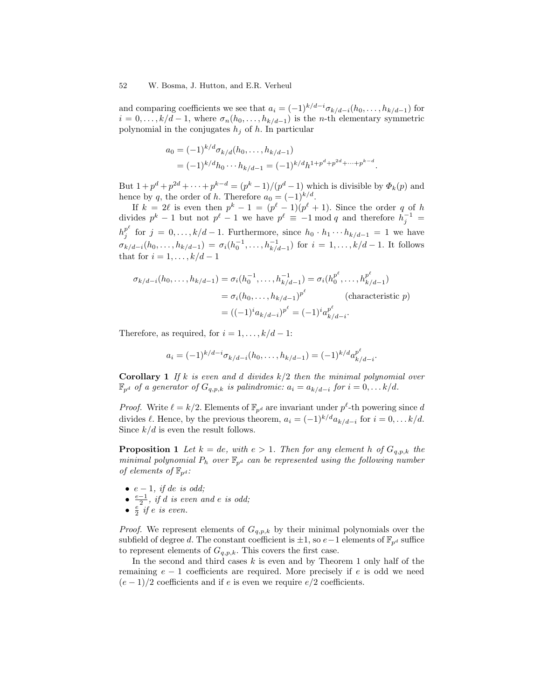and comparing coefficients we see that  $a_i = (-1)^{k/d-i} \sigma_{k/d-i}(h_0, \ldots, h_{k/d-1})$  for  $i = 0, \ldots, k/d - 1$ , where  $\sigma_n(h_0, \ldots, h_{k/d-1})$  is the *n*-th elementary symmetric polynomial in the conjugates  $h_j$  of h. In particular

$$
a_0 = (-1)^{k/d} \sigma_{k/d}(h_0, \dots, h_{k/d-1})
$$
  
=  $(-1)^{k/d} h_0 \cdots h_{k/d-1} = (-1)^{k/d} h^{1+p^d+p^{2d}+\cdots+p^{k-d}}.$ 

But  $1 + p^d + p^{2d} + \cdots + p^{k-d} = (p^k - 1)/(p^d - 1)$  which is divisible by  $\Phi_k(p)$  and hence by q, the order of h. Therefore  $a_0 = (-1)^{k/d}$ .

If  $k = 2\ell$  is even then  $p^k - 1 = (p^{\ell} - 1)(p^{\ell} + 1)$ . Since the order q of h divides  $p^k - 1$  but not  $p^{\ell} - 1$  we have  $p^{\ell} \equiv -1 \mod q$  and therefore  $h_j^{-1} =$  $h_i^{p^\ell}$  $j \text{ for } j = 0, \ldots, k/d - 1$ . Furthermore, since  $h_0 \cdot h_1 \cdots h_{k/d-1} = 1$  we have  $\sigma_{k/d-i}(h_0,\ldots,h_{k/d-1}) = \sigma_i(h_0^{-1},\ldots,h_{k/d-1}^{-1})$  for  $i = 1,\ldots,k/d-1$ . It follows that for  $i = 1, \ldots, k/d - 1$ 

$$
\sigma_{k/d-i}(h_0, \dots, h_{k/d-1}) = \sigma_i(h_0^{-1}, \dots, h_{k/d-1}^{-1}) = \sigma_i(h_0^{p^{\ell}}, \dots, h_{k/d-1}^{p^{\ell}})
$$
  
=  $\sigma_i(h_0, \dots, h_{k/d-1})^{p^{\ell}}$  (characteristic  $p$ )  
=  $((-1)^i a_{k/d-i})^{p^{\ell}} = (-1)^i a_{k/d-i}^{p^{\ell}}$ 

Therefore, as required, for  $i = 1, \ldots, k/d - 1$ :

$$
a_i = (-1)^{k/d-i} \sigma_{k/d-i}(h_0, \dots, h_{k/d-1}) = (-1)^{k/d} a_{k/d-i}^{p^{\ell}}.
$$

**Corollary 1** If k is even and d divides  $k/2$  then the minimal polynomial over  $\mathbb{F}_{p^d}$  of a generator of  $G_{q,p,k}$  is palindromic:  $a_i = a_{k/d-i}$  for  $i = 0, \ldots k/d$ .

*Proof.* Write  $\ell = k/2$ . Elements of  $\mathbb{F}_{p^d}$  are invariant under  $p^{\ell}$ -th powering since d divides  $\ell$ . Hence, by the previous theorem,  $a_i = (-1)^{k/d} a_{k/d-i}$  for  $i = 0, \ldots k/d$ . Since  $k/d$  is even the result follows.

**Proposition 1** Let  $k = de$ , with  $e > 1$ . Then for any element h of  $G_{q,p,k}$  the minimal polynomial  $P_h$  over  $\mathbb{F}_{p^d}$  can be represented using the following number of elements of  $\mathbb{F}_{p^d}$ :

- $e-1$ , if de is odd;
- $\frac{e-1}{2}$ , if d is even and e is odd;
- $\frac{e}{2}$  if e is even.

*Proof.* We represent elements of  $G_{q,p,k}$  by their minimal polynomials over the subfield of degree d. The constant coefficient is  $\pm 1$ , so  $e-1$  elements of  $\mathbb{F}_{p^d}$  suffice to represent elements of  $G_{q,p,k}$ . This covers the first case.

In the second and third cases  $k$  is even and by Theorem 1 only half of the remaining  $e - 1$  coefficients are required. More precisely if e is odd we need  $(e-1)/2$  coefficients and if e is even we require  $e/2$  coefficients.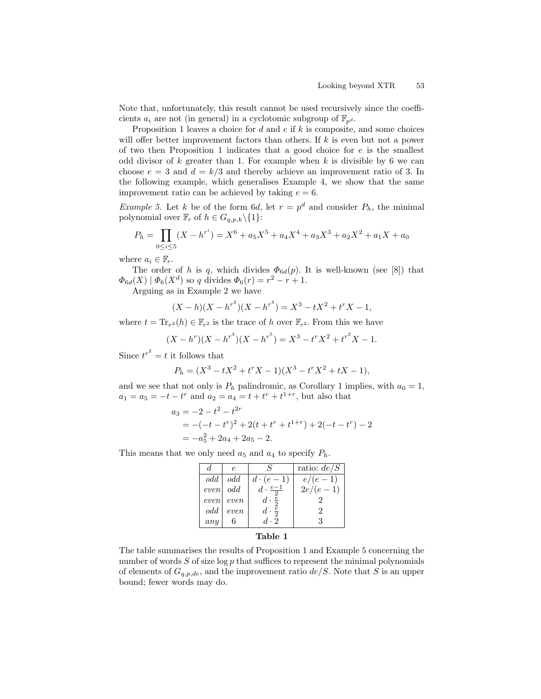Note that, unfortunately, this result cannot be used recursively since the coefficients  $a_i$  are not (in general) in a cyclotomic subgroup of  $\mathbb{F}_{p^d}$ .

Proposition 1 leaves a choice for  $d$  and  $e$  if  $k$  is composite, and some choices will offer better improvement factors than others. If  $k$  is even but not a power of two then Proposition 1 indicates that a good choice for  $e$  is the smallest odd divisor of  $k$  greater than 1. For example when  $k$  is divisible by 6 we can choose  $e = 3$  and  $d = k/3$  and thereby achieve an improvement ratio of 3. In the following example, which generalises Example 4, we show that the same improvement ratio can be achieved by taking  $e = 6$ .

*Example 5.* Let k be of the form 6d, let  $r = p^d$  and consider  $P_h$ , the minimal polynomial over  $\mathbb{F}_r$  of  $h \in G_{q,p,k}\backslash\{1\}$ :

$$
P_h = \prod_{0 \le i \le 5} (X - h^{r^i}) = X^6 + a_5 X^5 + a_4 X^4 + a_3 X^3 + a_2 X^2 + a_1 X + a_0
$$

where  $a_i \in \mathbb{F}_r$ .

The order of h is q, which divides  $\Phi_{6d}(p)$ . It is well-known (see [8]) that  $\Phi_{6d}(X) | \Phi_6(X^d)$  so q divides  $\Phi_6(r) = r^2 - r + 1$ .

Arguing as in Example 2 we have

$$
(X - h)(X - h^{r^2})(X - h^{r^4}) = X^3 - tX^2 + t^r X - 1,
$$

where  $t = \text{Tr}_{r^2}(h) \in \mathbb{F}_{r^2}$  is the trace of h over  $\mathbb{F}_{r^2}$ . From this we have

$$
(X - hr)(X - hr3)(X - hr5) = X3 - trX2 + tr2X - 1.
$$

Since  $t^{r^2} = t$  it follows that

$$
P_h = (X^3 - tX^2 + t^r X - 1)(X^3 - t^r X^2 + tX - 1),
$$

and we see that not only is  $P_h$  palindromic, as Corollary 1 implies, with  $a_0 = 1$ ,  $a_1 = a_5 = -t - t^r$  and  $a_2 = a_4 = t + t^r + t^{1+r}$ , but also that

$$
a_3 = -2 - t^2 - t^{2r}
$$
  
= -(-t - t<sup>r</sup>)<sup>2</sup> + 2(t + t<sup>r</sup> + t<sup>1+r</sup>) + 2(-t - t<sup>r</sup>) - 2  
= -a<sub>5</sub><sup>2</sup> + 2a<sub>4</sub> + 2a<sub>5</sub> - 2.

This means that we only need  $a_5$  and  $a_4$  to specify  $P_h$ .

|      | e.         |                         | ratio: $de/S$ |
|------|------------|-------------------------|---------------|
| odd  | odd        | $d\cdot(e-1)$           | $e/(e-1)$     |
|      | even odd   | $d \cdot \frac{e-1}{e}$ | $2e/(e-1)$    |
| even | $\it even$ | $d \cdot \frac{e}{2}$   |               |
| odd  | even       | $d \cdot \frac{e}{2}$   | 2             |
| any  |            | $d \cdot 2$             |               |
|      |            |                         |               |

### Table 1

The table summarises the results of Proposition 1 and Example 5 concerning the number of words  $S$  of size  $\log p$  that suffices to represent the minimal polynomials of elements of  $G_{q,p,de}$ , and the improvement ratio  $de/S$ . Note that S is an upper bound; fewer words may do.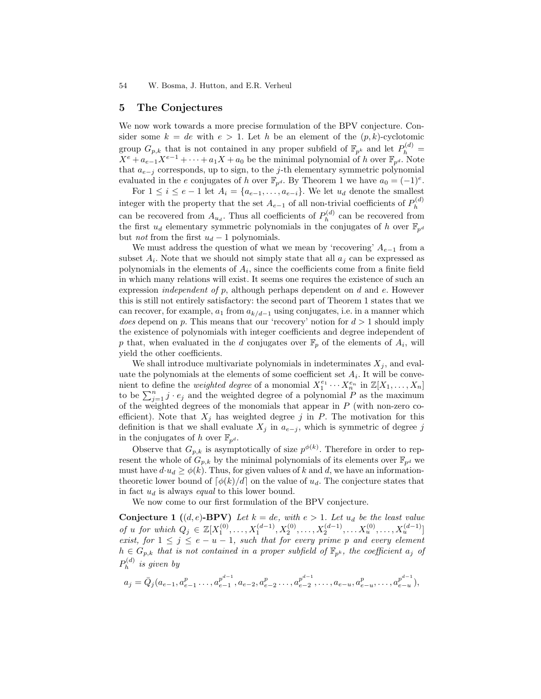## 5 The Conjectures

We now work towards a more precise formulation of the BPV conjecture. Consider some  $k = de$  with  $e > 1$ . Let h be an element of the  $(p, k)$ -cyclotomic group  $G_{p,k}$  that is not contained in any proper subfield of  $\mathbb{F}_{p^k}$  and let  $P_h^{(d)} =$  $X^e + a_{e-1}X^{e-1} + \cdots + a_1X + a_0$  be the minimal polynomial of h over  $\mathbb{F}_{p^d}$ . Note that  $a_{e-i}$  corresponds, up to sign, to the j-th elementary symmetric polynomial evaluated in the e conjugates of h over  $\mathbb{F}_{p^d}$ . By Theorem 1 we have  $a_0 = (-1)^e$ .

For  $1 \leq i \leq e-1$  let  $A_i = \{a_{e-1}, \ldots, a_{e-i}\}.$  We let  $u_d$  denote the smallest integer with the property that the set  $A_{e-1}$  of all non-trivial coefficients of  $P_h^{(d)}$ h can be recovered from  $A_{u_d}$ . Thus all coefficients of  $P_h^{(d)}$  $h^{(a)}$  can be recovered from the first  $u_d$  elementary symmetric polynomials in the conjugates of h over  $\mathbb{F}_{p^d}$ but *not* from the first  $u_d - 1$  polynomials.

We must address the question of what we mean by 'recovering'  $A_{e-1}$  from a subset  $A_i$ . Note that we should not simply state that all  $a_j$  can be expressed as polynomials in the elements of  $A_i$ , since the coefficients come from a finite field in which many relations will exist. It seems one requires the existence of such an expression *independent* of  $p$ , although perhaps dependent on  $d$  and  $e$ . However this is still not entirely satisfactory: the second part of Theorem 1 states that we can recover, for example,  $a_1$  from  $a_{k/d-1}$  using conjugates, i.e. in a manner which does depend on p. This means that our 'recovery' notion for  $d > 1$  should imply the existence of polynomials with integer coefficients and degree independent of p that, when evaluated in the d conjugates over  $\mathbb{F}_p$  of the elements of  $A_i$ , will yield the other coefficients.

We shall introduce multivariate polynomials in indeterminates  $X_j$ , and evaluate the polynomials at the elements of some coefficient set  $A_i$ . It will be convenient to define the *weighted degree* of a monomial  $X_1^{e_1} \cdots X_n^{e_n}$  in  $\mathbb{Z}[X_1,\ldots,X_n]$ to be  $\sum_{j=1}^{n} j \cdot e_j$  and the weighted degree of a polynomial P as the maximum of the weighted degrees of the monomials that appear in  $P$  (with non-zero coefficient). Note that  $X_j$  has weighted degree j in P. The motivation for this definition is that we shall evaluate  $X_j$  in  $a_{e-j}$ , which is symmetric of degree j in the conjugates of h over  $\mathbb{F}_{p^d}$ .

Observe that  $G_{p,k}$  is asymptotically of size  $p^{\phi(k)}$ . Therefore in order to represent the whole of  $G_{p,k}$  by the minimal polynomials of its elements over  $\mathbb{F}_{p^d}$  we must have  $d \cdot u_d \ge \phi(k)$ . Thus, for given values of k and d, we have an informationtheoretic lower bound of  $\lceil \phi(k)/d \rceil$  on the value of  $u_d$ . The conjecture states that in fact  $u_d$  is always *equal* to this lower bound.

We now come to our first formulation of the BPV conjecture.

**Conjecture 1** ((d, e)-BPV) Let  $k = de$ , with  $e > 1$ . Let  $u_d$  be the least value of u for which  $Q_j \in \mathbb{Z}[X_1^{(0)}, \ldots, X_1^{(d-1)}, X_2^{(0)}, \ldots, X_2^{(d-1)}, \ldots, X_u^{(0)}, \ldots, X_u^{(d-1)}]$ exist, for  $1 \leq j \leq e-u-1$ , such that for every prime p and every element  $h \in G_{p,k}$  that is not contained in a proper subfield of  $\mathbb{F}_{p^k}$ , the coefficient  $a_j$  of  $P^{(d)}_h$  $h^{(a)}$  is given by

$$
a_j = \bar{Q}_j(a_{e-1}, a_{e-1}^p \dots, a_{e-1}^{p^{d-1}}, a_{e-2}, a_{e-2}^p \dots, a_{e-2}^{p^{d-1}}, \dots, a_{e-u}, a_{e-u}^p, \dots, a_{e-u}^{p^{d-1}}),
$$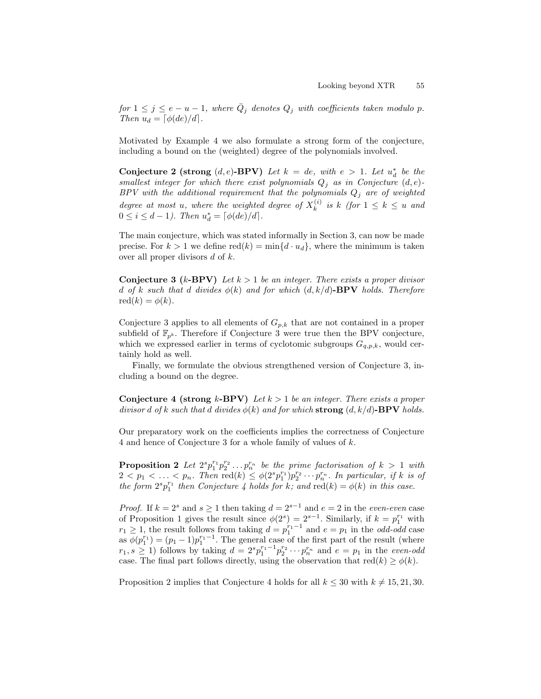for  $1 \leq j \leq e-u-1$ , where  $\overline{Q}_j$  denotes  $Q_j$  with coefficients taken modulo p. Then  $u_d = \left[\phi(de)/d\right]$ .

Motivated by Example 4 we also formulate a strong form of the conjecture, including a bound on the (weighted) degree of the polynomials involved.

Conjecture 2 (strong  $(d, e)$ -BPV) Let  $k = de$ , with  $e > 1$ . Let  $u_d^*$  be the smallest integer for which there exist polynomials  $Q_j$  as in Conjecture  $(d, e)$ - $BPV$  with the additional requirement that the polynomials  $Q_j$  are of weighted degree at most u, where the weighted degree of  $X_k^{(i)}$  $\binom{v}{k}$  is k (for  $1 \leq k \leq u$  and  $0 \le i \le d - 1$ ). Then  $u_d^* = \lceil \phi(de)/d \rceil$ .

The main conjecture, which was stated informally in Section 3, can now be made precise. For  $k > 1$  we define  $\text{red}(k) = \min\{d \cdot u_d\}$ , where the minimum is taken over all proper divisors  $d$  of  $k$ .

**Conjecture 3** (k-BPV) Let  $k > 1$  be an integer. There exists a proper divisor d of k such that d divides  $\phi(k)$  and for which  $(d, k/d)$ -BPV holds. Therefore  $\mathrm{red}(k) = \phi(k).$ 

Conjecture 3 applies to all elements of  $G_{p,k}$  that are not contained in a proper subfield of  $\mathbb{F}_{p^k}$ . Therefore if Conjecture 3 were true then the BPV conjecture, which we expressed earlier in terms of cyclotomic subgroups  $G_{q,p,k}$ , would certainly hold as well.

Finally, we formulate the obvious strengthened version of Conjecture 3, including a bound on the degree.

**Conjecture 4 (strong k-BPV)** Let  $k > 1$  be an integer. There exists a proper divisor d of k such that d divides  $\phi(k)$  and for which strong  $(d, k/d)$ -BPV holds.

Our preparatory work on the coefficients implies the correctness of Conjecture 4 and hence of Conjecture 3 for a whole family of values of k.

**Proposition 2** Let  $2^s p_1^{r_1} p_2^{r_2} \ldots p_n^{r_n}$  be the prime factorisation of  $k > 1$  with  $2 < p_1 < \ldots < p_n$ . Then  $\text{red}(k) \leq \phi(2^s p_1^{r_1}) p_2^{r_2} \cdots p_n^{r_n}$ . In particular, if k is of the form  $2^{s}p_1^{r_1}$  then Conjecture 4 holds for k; and  $red(k) = \phi(k)$  in this case.

*Proof.* If  $k = 2^s$  and  $s \ge 1$  then taking  $d = 2^{s-1}$  and  $e = 2$  in the even-even case of Proposition 1 gives the result since  $\phi(2^s) = 2^{s-1}$ . Similarly, if  $k = p_1^{r_1}$  with  $r_1 \geq 1$ , the result follows from taking  $d = p_1^{r_1-1}$  and  $e = p_1$  in the *odd-odd* case as  $\phi(p_1^{r_1}) = (p_1 - 1)p_1^{r_1-1}$ . The general case of the first part of the result (where  $r_1, s \ge 1$ ) follows by taking  $d = 2^s p_1^{r_1-1} p_2^{r_2} \cdots p_n^{r_n}$  and  $e = p_1$  in the even-odd case. The final part follows directly, using the observation that  $\text{red}(k) \geq \phi(k)$ .

Proposition 2 implies that Conjecture 4 holds for all  $k \leq 30$  with  $k \neq 15, 21, 30$ .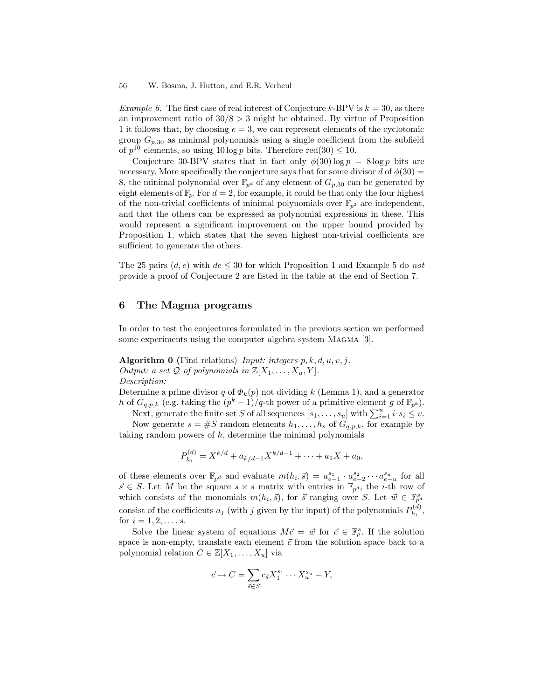Example 6. The first case of real interest of Conjecture k-BPV is  $k = 30$ , as there an improvement ratio of  $30/8 > 3$  might be obtained. By virtue of Proposition 1 it follows that, by choosing  $e = 3$ , we can represent elements of the cyclotomic group  $G_{p,30}$  as minimal polynomials using a single coefficient from the subfield of  $p^{10}$  elements, so using  $10 \log p$  bits. Therefore red $(30) \leq 10$ .

Conjecture 30-BPV states that in fact only  $\phi(30) \log p = 8 \log p$  bits are necessary. More specifically the conjecture says that for some divisor d of  $\phi(30)$  = 8, the minimal polynomial over  $\mathbb{F}_{p^d}$  of any element of  $G_{p,30}$  can be generated by eight elements of  $\mathbb{F}_p$ . For  $d = 2$ , for example, it could be that only the four highest of the non-trivial coefficients of minimal polynomials over  $\mathbb{F}_{p^2}$  are independent, and that the others can be expressed as polynomial expressions in these. This would represent a significant improvement on the upper bound provided by Proposition 1, which states that the seven highest non-trivial coefficients are sufficient to generate the others.

The 25 pairs  $(d, e)$  with  $de \leq 30$  for which Proposition 1 and Example 5 do not provide a proof of Conjecture 2 are listed in the table at the end of Section 7.

## 6 The Magma programs

In order to test the conjectures formulated in the previous section we performed some experiments using the computer algebra system MAGMA [3].

Algorithm 0 (Find relations) Input: integers  $p, k, d, u, v, j$ . Output: a set Q of polynomials in  $\mathbb{Z}[X_1, \ldots, X_u, Y].$ Description:

Determine a prime divisor q of  $\Phi_k(p)$  not dividing k (Lemma 1), and a generator h of  $G_{q,p,k}$  (e.g. taking the  $(p^k-1)/q$ -th power of a primitive element g of  $\mathbb{F}_{p^k}$ ).

Next, generate the finite set S of all sequences  $[s_1, \ldots, s_u]$  with  $\sum_{i=1}^u i \cdot s_i \leq v$ .

Now generate  $s = \#S$  random elements  $h_1, \ldots, h_s$  of  $G_{q,p,k}$ , for example by taking random powers of  $h$ , determine the minimal polynomials

$$
P_{h_i}^{(d)} = X^{k/d} + a_{k/d-1} X^{k/d-1} + \dots + a_1 X + a_0,
$$

of these elements over  $\mathbb{F}_{p^d}$  and evaluate  $m(h_i, \vec{s}) = a_{e-1}^{s_1} \cdot a_{e-2}^{s_2} \cdots a_{e-u}^{s_u}$  for all  $\vec{s} \in S$ . Let M be the square  $s \times s$  matrix with entries in  $\mathbb{F}_{p^d}$ , the *i*-th row of which consists of the monomials  $m(h_i, \vec{s})$ , for  $\vec{s}$  ranging over S. Let  $\vec{w} \in \mathbb{F}_{p^d}^s$ consist of the coefficients  $a_j$  (with j given by the input) of the polynomials  $P_{h_i}^{(d)}$  $h_i^{(u)},$ for  $i = 1, 2, \ldots, s$ .

Solve the linear system of equations  $M\vec{c} = \vec{w}$  for  $\vec{c} \in \mathbb{F}_p^s$ . If the solution space is non-empty, translate each element  $\vec{c}$  from the solution space back to a polynomial relation  $C \in \mathbb{Z}[X_1, \ldots, X_u]$  via

$$
\vec{c} \mapsto C = \sum_{\vec{s} \in S} c_{\vec{s}} X_1^{s_1} \cdots X_u^{s_u} - Y,
$$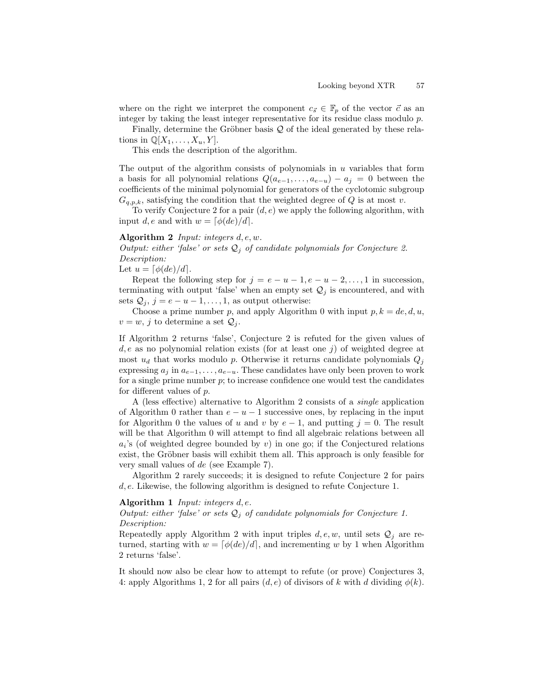where on the right we interpret the component  $c_{\vec{s}} \in \mathbb{F}_p$  of the vector  $\vec{c}$  as an integer by taking the least integer representative for its residue class modulo p.

Finally, determine the Gröbner basis  $Q$  of the ideal generated by these relations in  $\mathbb{Q}[X_1,\ldots,X_u,Y].$ 

This ends the description of the algorithm.

The output of the algorithm consists of polynomials in  $u$  variables that form a basis for all polynomial relations  $Q(a_{e-1}, \ldots, a_{e-u}) - a_i = 0$  between the coefficients of the minimal polynomial for generators of the cyclotomic subgroup  $G_{q,p,k}$ , satisfying the condition that the weighted degree of Q is at most v.

To verify Conjecture 2 for a pair  $(d, e)$  we apply the following algorithm, with input d, e and with  $w = \left[\phi(de)/d\right]$ .

### Algorithm 2 Input: integers  $d, e, w$ .

Output: either 'false' or sets  $Q_i$  of candidate polynomials for Conjecture 2. Description:

Let  $u = \lceil \phi(de)/d \rceil$ .

Repeat the following step for  $j = e - u - 1, e - u - 2, \ldots, 1$  in succession, terminating with output 'false' when an empty set  $\mathcal{Q}_j$  is encountered, and with sets  $Q_j$ ,  $j = e - u - 1, \ldots, 1$ , as output otherwise:

Choose a prime number p, and apply Algorithm 0 with input  $p, k = de, d, u$ ,  $v = w, j$  to determine a set  $\mathcal{Q}_j$ .

If Algorithm 2 returns 'false', Conjecture 2 is refuted for the given values of  $d, e$  as no polynomial relation exists (for at least one j) of weighted degree at most  $u_d$  that works modulo p. Otherwise it returns candidate polynomials  $Q_i$ expressing  $a_i$  in  $a_{e-1}, \ldots, a_{e-u}$ . These candidates have only been proven to work for a single prime number  $p$ ; to increase confidence one would test the candidates for different values of p.

A (less effective) alternative to Algorithm 2 consists of a single application of Algorithm 0 rather than  $e - u - 1$  successive ones, by replacing in the input for Algorithm 0 the values of u and v by  $e-1$ , and putting  $j = 0$ . The result will be that Algorithm 0 will attempt to find all algebraic relations between all  $a_i$ 's (of weighted degree bounded by v) in one go; if the Conjectured relations exist, the Gröbner basis will exhibit them all. This approach is only feasible for very small values of de (see Example 7).

Algorithm 2 rarely succeeds; it is designed to refute Conjecture 2 for pairs d, e. Likewise, the following algorithm is designed to refute Conjecture 1.

#### Algorithm 1 Input: integers  $d, e$ .

Output: either 'false' or sets  $Q_i$  of candidate polynomials for Conjecture 1. Description:

Repeatedly apply Algorithm 2 with input triples  $d, e, w$ , until sets  $Q_i$  are returned, starting with  $w = [\phi(de)/d]$ , and incrementing w by 1 when Algorithm 2 returns 'false'.

It should now also be clear how to attempt to refute (or prove) Conjectures 3, 4: apply Algorithms 1, 2 for all pairs  $(d, e)$  of divisors of k with d dividing  $\phi(k)$ .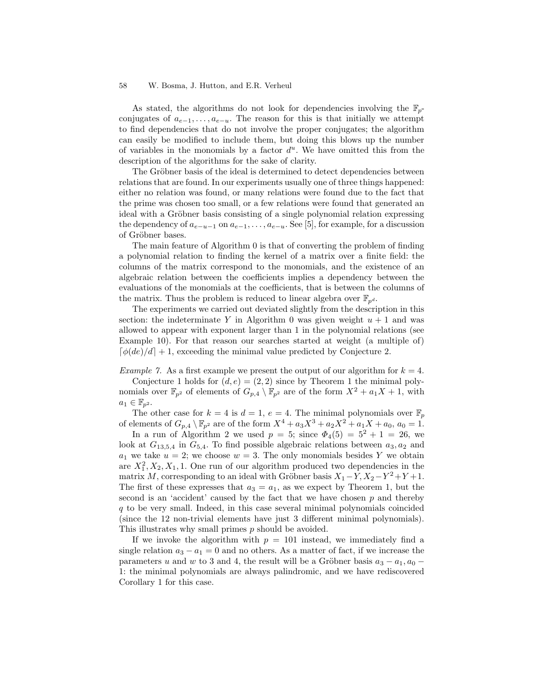As stated, the algorithms do not look for dependencies involving the  $\mathbb{F}_p$ conjugates of  $a_{e-1}, \ldots, a_{e-u}$ . The reason for this is that initially we attempt to find dependencies that do not involve the proper conjugates; the algorithm can easily be modified to include them, but doing this blows up the number of variables in the monomials by a factor  $d^u$ . We have omitted this from the description of the algorithms for the sake of clarity.

The Gröbner basis of the ideal is determined to detect dependencies between relations that are found. In our experiments usually one of three things happened: either no relation was found, or many relations were found due to the fact that the prime was chosen too small, or a few relations were found that generated an ideal with a Gröbner basis consisting of a single polynomial relation expressing the dependency of  $a_{e-u-1}$  on  $a_{e-1}, \ldots, a_{e-u}$ . See [5], for example, for a discussion of Gröbner bases.

The main feature of Algorithm 0 is that of converting the problem of finding a polynomial relation to finding the kernel of a matrix over a finite field: the columns of the matrix correspond to the monomials, and the existence of an algebraic relation between the coefficients implies a dependency between the evaluations of the monomials at the coefficients, that is between the columns of the matrix. Thus the problem is reduced to linear algebra over  $\mathbb{F}_{n^d}$ .

The experiments we carried out deviated slightly from the description in this section: the indeterminate Y in Algorithm 0 was given weight  $u + 1$  and was allowed to appear with exponent larger than 1 in the polynomial relations (see Example 10). For that reason our searches started at weight (a multiple of)  $\lceil \phi(de)/d \rceil + 1$ , exceeding the minimal value predicted by Conjecture 2.

Example 7. As a first example we present the output of our algorithm for  $k = 4$ .

Conjecture 1 holds for  $(d, e) = (2, 2)$  since by Theorem 1 the minimal polynomials over  $\mathbb{F}_{p^2}$  of elements of  $G_{p,4} \setminus \mathbb{F}_{p^2}$  are of the form  $X^2 + a_1X + 1$ , with  $a_1 \in \mathbb{F}_{p^2}$ .

The other case for  $k = 4$  is  $d = 1, e = 4$ . The minimal polynomials over  $\mathbb{F}_p$ of elements of  $G_{p,4} \setminus \mathbb{F}_{p^2}$  are of the form  $X^4 + a_3X^3 + a_2X^2 + a_1X + a_0$ ,  $a_0 = 1$ .

In a run of Algorithm 2 we used  $p = 5$ ; since  $\Phi_4(5) = 5^2 + 1 = 26$ , we look at  $G_{13,5,4}$  in  $G_{5,4}$ . To find possible algebraic relations between  $a_3, a_2$  and  $a_1$  we take  $u = 2$ ; we choose  $w = 3$ . The only monomials besides Y we obtain are  $X_1^2, X_2, X_1, 1$ . One run of our algorithm produced two dependencies in the matrix M, corresponding to an ideal with Gröbner basis  $X_1 - Y, X_2 - Y^2 + Y + 1$ . The first of these expresses that  $a_3 = a_1$ , as we expect by Theorem 1, but the second is an 'accident' caused by the fact that we have chosen  $p$  and thereby  $q$  to be very small. Indeed, in this case several minimal polynomials coincided (since the 12 non-trivial elements have just 3 different minimal polynomials). This illustrates why small primes p should be avoided.

If we invoke the algorithm with  $p = 101$  instead, we immediately find a single relation  $a_3 - a_1 = 0$  and no others. As a matter of fact, if we increase the parameters u and w to 3 and 4, the result will be a Gröbner basis  $a_3 - a_1$ ,  $a_0$  – 1: the minimal polynomials are always palindromic, and we have rediscovered Corollary 1 for this case.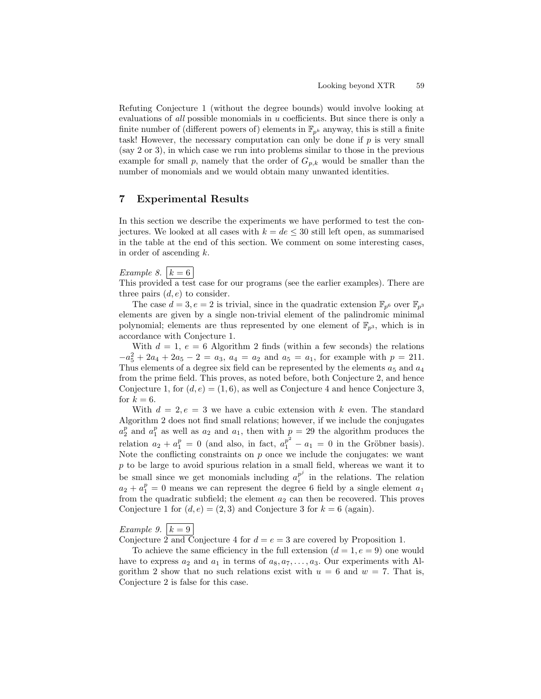Refuting Conjecture 1 (without the degree bounds) would involve looking at evaluations of all possible monomials in u coefficients. But since there is only a finite number of (different powers of) elements in  $\mathbb{F}_{p^k}$  anyway, this is still a finite task! However, the necessary computation can only be done if  $p$  is very small (say 2 or 3), in which case we run into problems similar to those in the previous example for small p, namely that the order of  $G_{p,k}$  would be smaller than the number of monomials and we would obtain many unwanted identities.

## 7 Experimental Results

In this section we describe the experiments we have performed to test the conjectures. We looked at all cases with  $k = de \leq 30$  still left open, as summarised in the table at the end of this section. We comment on some interesting cases, in order of ascending  $k$ .

# Example 8.  $k = 6$

This provided a test case for our programs (see the earlier examples). There are three pairs  $(d, e)$  to consider.

The case  $d = 3, e = 2$  is trivial, since in the quadratic extension  $\mathbb{F}_{p^6}$  over  $\mathbb{F}_{p^3}$ elements are given by a single non-trivial element of the palindromic minimal polynomial; elements are thus represented by one element of  $\mathbb{F}_{n^3}$ , which is in accordance with Conjecture 1.

With  $d = 1$ ,  $e = 6$  Algorithm 2 finds (within a few seconds) the relations  $-a_5^2 + 2a_4 + 2a_5 - 2 = a_3$ ,  $a_4 = a_2$  and  $a_5 = a_1$ , for example with  $p = 211$ . Thus elements of a degree six field can be represented by the elements  $a_5$  and  $a_4$ from the prime field. This proves, as noted before, both Conjecture 2, and hence Conjecture 1, for  $(d, e) = (1, 6)$ , as well as Conjecture 4 and hence Conjecture 3, for  $k = 6$ .

With  $d = 2, e = 3$  we have a cubic extension with k even. The standard Algorithm 2 does not find small relations; however, if we include the conjugates  $a_2^p$  and  $a_1^p$  as well as  $a_2$  and  $a_1$ , then with  $p = 29$  the algorithm produces the relation  $a_2 + a_1^p = 0$  (and also, in fact,  $a_1^{p^2} - a_1 = 0$  in the Gröbner basis). Note the conflicting constraints on  $p$  once we include the conjugates: we want  $p$  to be large to avoid spurious relation in a small field, whereas we want it to be small since we get monomials including  $a_i^{p^j}$  $i<sup>p</sup>$  in the relations. The relation  $a_2 + a_1^p = 0$  means we can represent the degree 6 field by a single element  $a_1$ from the quadratic subfield; the element  $a_2$  can then be recovered. This proves Conjecture 1 for  $(d, e) = (2, 3)$  and Conjecture 3 for  $k = 6$  (again).

# Example 9.  $k = 9$

Conjecture 2 and Conjecture 4 for  $d = e = 3$  are covered by Proposition 1.

To achieve the same efficiency in the full extension  $(d = 1, e = 9)$  one would have to express  $a_2$  and  $a_1$  in terms of  $a_8, a_7, \ldots, a_3$ . Our experiments with Algorithm 2 show that no such relations exist with  $u = 6$  and  $w = 7$ . That is, Conjecture 2 is false for this case.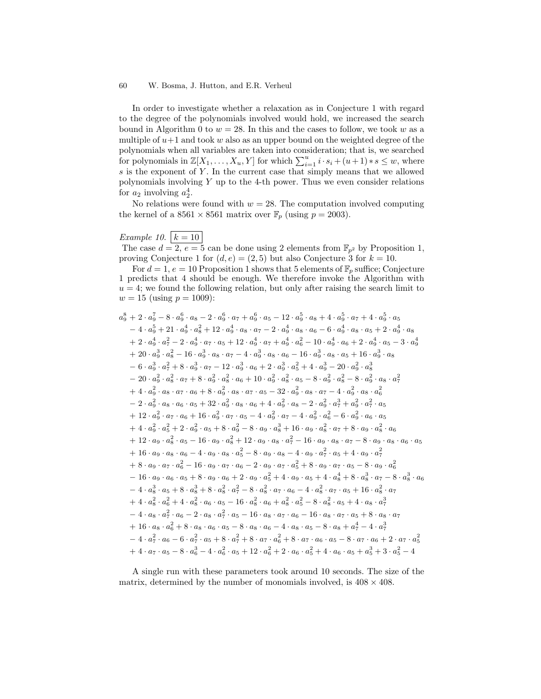In order to investigate whether a relaxation as in Conjecture 1 with regard to the degree of the polynomials involved would hold, we increased the search bound in Algorithm 0 to  $w = 28$ . In this and the cases to follow, we took w as a multiple of  $u+1$  and took w also as an upper bound on the weighted degree of the polynomials when all variables are taken into consideration; that is, we searched for polynomials in  $\mathbb{Z}[X_1,\ldots,X_u,Y]$  for which  $\sum_{i=1}^u i \cdot s_i + (u+1) * s \leq w$ , where  $s$  is the exponent of Y. In the current case that simply means that we allowed polynomials involving  $Y$  up to the 4-th power. Thus we even consider relations for  $a_2$  involving  $a_2^4$ .

No relations were found with  $w = 28$ . The computation involved computing the kernel of a  $8561 \times 8561$  matrix over  $\mathbb{F}_p$  (using  $p = 2003$ ).

# Example 10.  $k = 10$

The case  $d = 2, e = 5$  can be done using 2 elements from  $\mathbb{F}_{p^2}$  by Proposition 1, proving Conjecture 1 for  $(d, e) = (2, 5)$  but also Conjecture 3 for  $k = 10$ .

For  $d = 1, e = 10$  Proposition 1 shows that 5 elements of  $\mathbb{F}_p$  suffice; Conjecture predicts that 4 should be enough. We therefore invoke the Algorithm with  $u = 4$ ; we found the following relation, but only after raising the search limit to  $w = 15$  (using  $p = 1009$ ):

$$
a_9^8 + 2 \cdot a_9^7 - 8 \cdot a_9^6 \cdot a_8 - 2 \cdot a_9^6 \cdot a_7 + a_9^6 \cdot a_5 - 12 \cdot a_9^5 \cdot a_8 + 4 \cdot a_9^5 \cdot a_7 + 4 \cdot a_9^5 \cdot a_5
$$
  
\n
$$
-4 \cdot a_9^5 + 21 \cdot a_9^4 \cdot a_8^2 + 12 \cdot a_9^4 \cdot a_8 \cdot a_7 - 2 \cdot a_9^4 \cdot a_8 \cdot a_6 - 6 \cdot a_9^4 \cdot a_8 \cdot a_5 + 2 \cdot a_9^4 \cdot a_8
$$
  
\n
$$
+ 2 \cdot a_9^4 \cdot a_7^2 - 2 \cdot a_9^4 \cdot a_7 \cdot a_5 + 12 \cdot a_9^4 \cdot a_8 \cdot a_7 + a_9^4 \cdot a_6^2 - 10 \cdot a_9^4 \cdot a_6 + 2 \cdot a_9^4 \cdot a_5 - 3 \cdot a_9^4
$$
  
\n
$$
+ 20 \cdot a_9^3 \cdot a_8^2 - 16 \cdot a_9^3 \cdot a_8 \cdot a_7 - 4 \cdot a_9^3 \cdot a_8 \cdot a_6 - 16 \cdot a_9^3 \cdot a_8 \cdot a_5 + 16 \cdot a_9^3 \cdot a_8
$$
  
\n
$$
- 6 \cdot a_9^3 \cdot a_7^2 + 8 \cdot a_9^3 \cdot a_7 - 12 \cdot a_9^3 \cdot a_6 + 2 \cdot a_9^3 \cdot a_5^2 + 4 \cdot a_9^3 - 20 \cdot a_9^2 \cdot a_8^3
$$
  
\n
$$
- 20 \cdot a_9^2 \cdot a_8^2 \cdot a_7 + 8 \cdot a_9^2 \cdot a_8^2 \cdot a_6 + 10 \cdot a_9^2 \cdot a_8^2 \cdot a_5 - 8 \cdot a_9^2 \cdot a_8^2 - 8 \cdot a_9^2 \cdot a_8 \cdot a_7^2
$$
  
\n
$$
+ 4 \cdot a_9^2 \cdot a_8 \cdot a_7 \cdot a_6 + 8 \cdot a_9^2 \cdot a_8 \cdot a_7 \cdot a_5 - 32 \cdot a_9^2 \cdot a_8 \cdot a_7 - 4
$$

A single run with these parameters took around 10 seconds. The size of the matrix, determined by the number of monomials involved, is  $408 \times 408$ .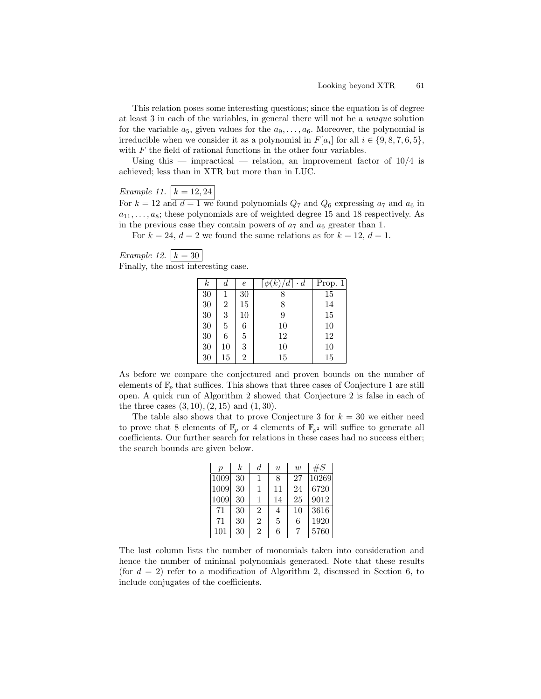This relation poses some interesting questions; since the equation is of degree at least 3 in each of the variables, in general there will not be a unique solution for the variable  $a_5$ , given values for the  $a_9, \ldots, a_6$ . Moreover, the polynomial is irreducible when we consider it as a polynomial in  $F[a_i]$  for all  $i \in \{9, 8, 7, 6, 5\},\$ with  $F$  the field of rational functions in the other four variables.

Using this — impractical — relation, an improvement factor of  $10/4$  is achieved; less than in XTR but more than in LUC.

# Example 11.  $k = 12, 24$

For  $k = 12$  and  $d = 1$  we found polynomials  $Q_7$  and  $Q_6$  expressing  $a_7$  and  $a_6$  in  $a_{11}, \ldots, a_8$ ; these polynomials are of weighted degree 15 and 18 respectively. As in the previous case they contain powers of  $a_7$  and  $a_6$  greater than 1.

For  $k = 24$ ,  $d = 2$  we found the same relations as for  $k = 12$ ,  $d = 1$ .

## Example 12.  $k = 30$ Finally, the most interesting case.

| k  | d  | $\epsilon$     | $\cdot d$<br>а | Prop. 1 |
|----|----|----------------|----------------|---------|
| 30 |    | 30             |                | 15      |
| 30 | 2  | 15             | 8              | 14      |
| 30 | 3  | 10             | 9              | 15      |
| 30 | 5  | 6              | 10             | 10      |
| 30 | 6  | 5              | 12             | 12      |
| 30 | 10 | 3              | 10             | 10      |
| 30 | 15 | $\overline{2}$ | 15             | 15      |

As before we compare the conjectured and proven bounds on the number of elements of  $\mathbb{F}_p$  that suffices. This shows that three cases of Conjecture 1 are still open. A quick run of Algorithm 2 showed that Conjecture 2 is false in each of the three cases  $(3, 10), (2, 15)$  and  $(1, 30)$ .

The table also shows that to prove Conjecture 3 for  $k = 30$  we either need to prove that 8 elements of  $\mathbb{F}_p$  or 4 elements of  $\mathbb{F}_{p^2}$  will suffice to generate all coefficients. Our further search for relations in these cases had no success either; the search bounds are given below.

| $\boldsymbol{p}$ | $\boldsymbol{k}$ | d              | $\boldsymbol{u}$ | w  | $\#S$ |  |
|------------------|------------------|----------------|------------------|----|-------|--|
| 1009             | 30               | 1              | 8                | 27 | 10269 |  |
| 1009             | 30               | 1              | 11               | 24 | 6720  |  |
| 1009             | 30               | 1              | 14               | 25 | 9012  |  |
| 71               | 30               | 2              | 4                | 10 | 3616  |  |
| 71               | 30               | $\overline{2}$ | 5                | 6  | 1920  |  |
| 101              | 30               | $\overline{2}$ | 6                |    | 5760  |  |

The last column lists the number of monomials taken into consideration and hence the number of minimal polynomials generated. Note that these results (for  $d = 2$ ) refer to a modification of Algorithm 2, discussed in Section 6, to include conjugates of the coefficients.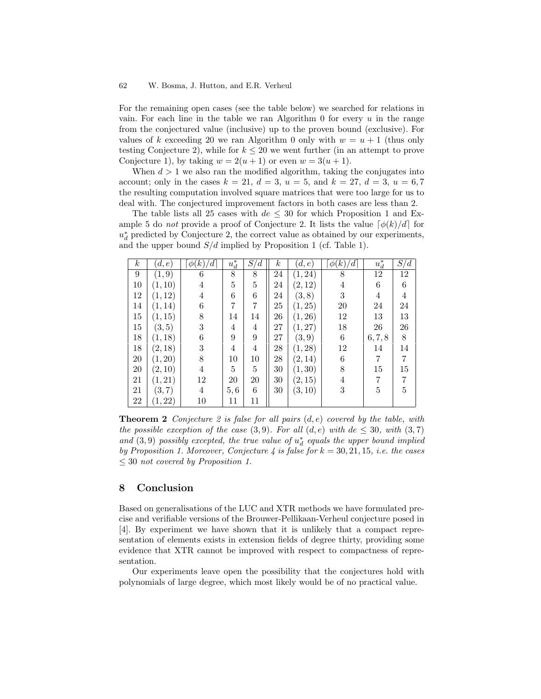For the remaining open cases (see the table below) we searched for relations in vain. For each line in the table we ran Algorithm 0 for every  $u$  in the range from the conjectured value (inclusive) up to the proven bound (exclusive). For values of k exceeding 20 we ran Algorithm 0 only with  $w = u + 1$  (thus only testing Conjecture 2), while for  $k \leq 20$  we went further (in an attempt to prove Conjecture 1), by taking  $w = 2(u + 1)$  or even  $w = 3(u + 1)$ .

When  $d > 1$  we also ran the modified algorithm, taking the conjugates into account; only in the cases  $k = 21$ ,  $d = 3$ ,  $u = 5$ , and  $k = 27$ ,  $d = 3$ ,  $u = 6, 7$ the resulting computation involved square matrices that were too large for us to deal with. The conjectured improvement factors in both cases are less than 2.

The table lists all 25 cases with  $de \leq 30$  for which Proposition 1 and Example 5 do *not* provide a proof of Conjecture 2. It lists the value  $\lceil \phi(k)/d \rceil$  for  $u_d^*$  predicted by Conjecture 2, the correct value as obtained by our experiments, and the upper bound  $S/d$  implied by Proposition 1 (cf. Table 1).

| $\boldsymbol{k}$ | (d,e)   | $\phi(k)$<br>' d | $u_d^\ast$     | $S_{\rm \prime}$<br>$\mathcal{U}$ | $\boldsymbol{k}$ | (d,e)   | $\phi(k)$<br>$\frac{d}{dt}$ | $u_d^\ast$     | $\overline{S}/d$ |
|------------------|---------|------------------|----------------|-----------------------------------|------------------|---------|-----------------------------|----------------|------------------|
| 9                | (1,9)   | 6                | 8              | $8\,$                             | 24               | (1, 24) | 8                           | 12             | 12               |
| 10               | (1, 10) | 4                | 5              | $\overline{5}$                    | 24               | (2, 12) | 4                           | 6              | $\,6$            |
| 12               | (1, 12) | 4                | 6              | 6                                 | $24\,$           | (3, 8)  | 3                           | 4              | 4                |
| 14               | (1, 14) | 6                | 7              | 7                                 | 25               | (1, 25) | 20                          | 24             | 24               |
| 15               | (1, 15) | 8                | 14             | 14                                | 26               | (1, 26) | 12                          | 13             | 13               |
| 15               | (3, 5)  | 3                | 4              | 4                                 | 27               | (1, 27) | 18                          | 26             | $26\,$           |
| 18               | (1, 18) | 6                | 9              | 9                                 | 27               | (3,9)   | 6                           | 6, 7, 8        | 8                |
| 18               | (2, 18) | 3                | $\overline{4}$ | 4                                 | 28               | (1, 28) | 12                          | 14             | 14               |
| 20               | (1, 20) | 8                | $10\,$         | $10\,$                            | 28               | (2, 14) | 6                           | 7              | 7                |
| 20               | (2, 10) | $\overline{4}$   | 5              | 5                                 | 30               | (1, 30) | 8                           | 15             | 15               |
| 21               | (1, 21) | 12               | 20             | 20                                | 30               | (2,15)  | $\overline{4}$              | $\overline{7}$ | 7                |
| 21               | (3, 7)  | 4                | 5,6            | 6                                 | 30               | (3, 10) | 3                           | 5              | 5                |
| 22               | (1, 22) | $10\,$           | 11             | 11                                |                  |         |                             |                |                  |

**Theorem 2** Conjecture 2 is false for all pairs  $(d, e)$  covered by the table, with the possible exception of the case  $(3, 9)$ . For all  $(d, e)$  with  $de \leq 30$ , with  $(3, 7)$ and  $(3,9)$  possibly excepted, the true value of  $u_d^*$  equals the upper bound implied by Proposition 1. Moreover, Conjecture 4 is false for  $k = 30, 21, 15, i.e.$  the cases  $\leq 30$  not covered by Proposition 1.

## 8 Conclusion

Based on generalisations of the LUC and XTR methods we have formulated precise and verifiable versions of the Brouwer-Pellikaan-Verheul conjecture posed in [4]. By experiment we have shown that it is unlikely that a compact representation of elements exists in extension fields of degree thirty, providing some evidence that XTR cannot be improved with respect to compactness of representation.

Our experiments leave open the possibility that the conjectures hold with polynomials of large degree, which most likely would be of no practical value.